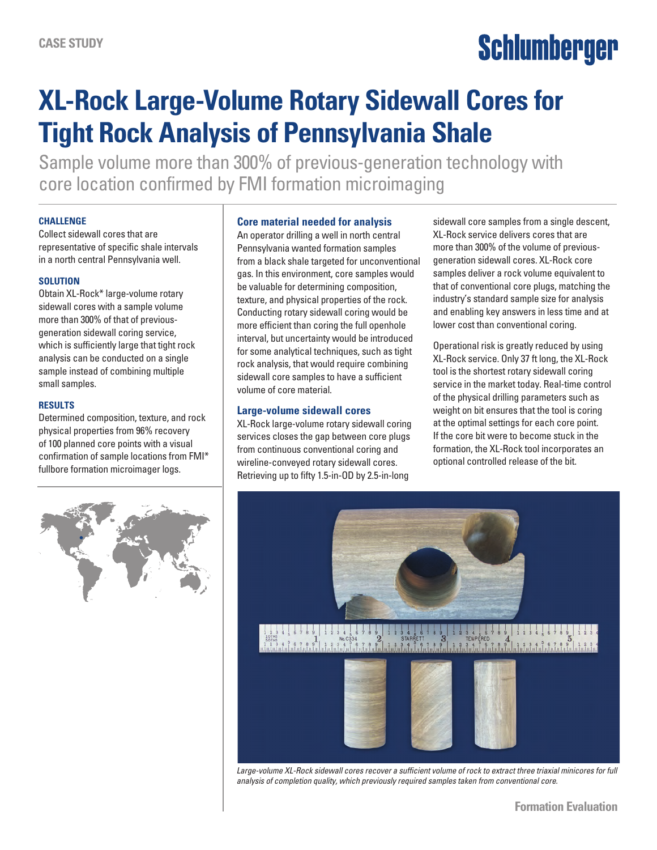# Schlumberger

## **XL-Rock Large-Volume Rotary Sidewall Cores for Tight Rock Analysis of Pennsylvania Shale**

Sample volume more than 300% of previous-generation technology with core location confirmed by FMI formation microimaging

#### **CHALLENGE**

Collect sidewall cores that are representative of specific shale intervals in a north central Pennsylvania well.

#### **SOLUTION**

Obtain XL-Rock\* large-volume rotary sidewall cores with a sample volume more than 300% of that of previousgeneration sidewall coring service, which is sufficiently large that tight rock analysis can be conducted on a single sample instead of combining multiple small samples.

#### **RESULTS**

Determined composition, texture, and rock physical properties from 96% recovery of 100 planned core points with a visual confirmation of sample locations from FMI\* fullbore formation microimager logs.



#### **Core material needed for analysis**

An operator drilling a well in north central Pennsylvania wanted formation samples from a black shale targeted for unconventional gas. In this environment, core samples would be valuable for determining composition, texture, and physical properties of the rock. Conducting rotary sidewall coring would be more efficient than coring the full openhole interval, but uncertainty would be introduced for some analytical techniques, such as tight rock analysis, that would require combining sidewall core samples to have a sufficient volume of core material.

#### **Large-volume sidewall cores**

XL-Rock large-volume rotary sidewall coring services closes the gap between core plugs from continuous conventional coring and wireline-conveyed rotary sidewall cores. Retrieving up to fifty 1.5-in-OD by 2.5-in-long

sidewall core samples from a single descent, XL-Rock service delivers cores that are more than 300% of the volume of previousgeneration sidewall cores. XL-Rock core samples deliver a rock volume equivalent to that of conventional core plugs, matching the industry's standard sample size for analysis and enabling key answers in less time and at lower cost than conventional coring.

Operational risk is greatly reduced by using XL-Rock service. Only 37 ft long, the XL-Rock tool is the shortest rotary sidewall coring service in the market today. Real-time control of the physical drilling parameters such as weight on bit ensures that the tool is coring at the optimal settings for each core point. If the core bit were to become stuck in the formation, the XL-Rock tool incorporates an optional controlled release of the bit.



Large-volume XL-Rock sidewall cores recover a sufficient volume of rock to extract three triaxial minicores for full *analysis of completion quality, which previously required samples taken from conventional core.*